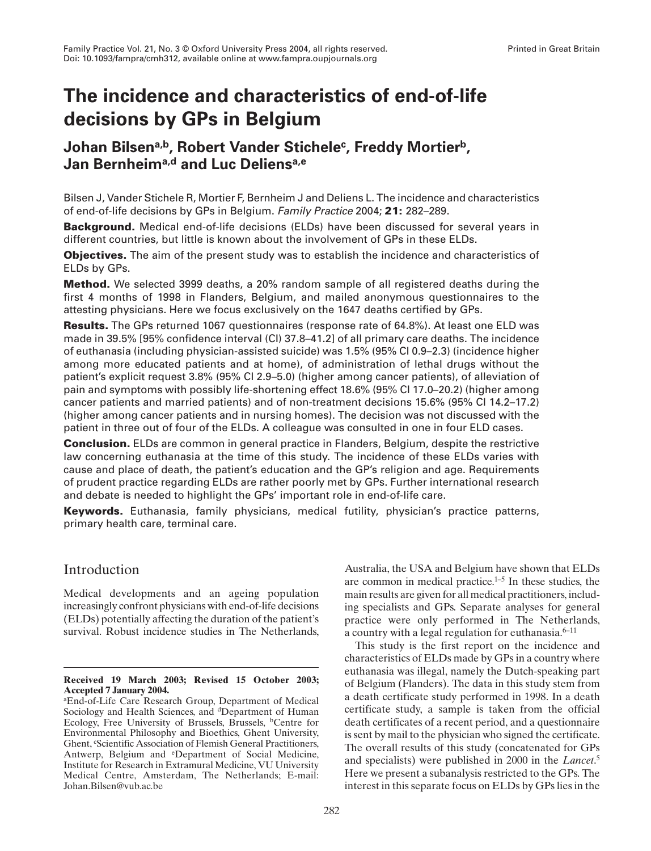# **The incidence and characteristics of end-of-life decisions by GPs in Belgium**

## Johan Bilsen<sup>a,b</sup>, Robert Vander Stichele<sup>c</sup>, Freddy Mortier<sup>b</sup>, **Jan Bernheima,d and Luc Deliensa,e**

Bilsen J, Vander Stichele R, Mortier F, Bernheim J and Deliens L. The incidence and characteristics of end-of-life decisions by GPs in Belgium. *Family Practice* 2004; **21:** 282–289.

**Background.** Medical end-of-life decisions (ELDs) have been discussed for several years in different countries, but little is known about the involvement of GPs in these ELDs.

**Objectives.** The aim of the present study was to establish the incidence and characteristics of ELDs by GPs.

**Method.** We selected 3999 deaths, a 20% random sample of all registered deaths during the first 4 months of 1998 in Flanders, Belgium, and mailed anonymous questionnaires to the attesting physicians. Here we focus exclusively on the 1647 deaths certified by GPs.

**Results.** The GPs returned 1067 questionnaires (response rate of 64.8%). At least one ELD was made in 39.5% [95% confidence interval (CI) 37.8–41.2] of all primary care deaths. The incidence of euthanasia (including physician-assisted suicide) was 1.5% (95% CI 0.9–2.3) (incidence higher among more educated patients and at home), of administration of lethal drugs without the patient's explicit request 3.8% (95% CI 2.9–5.0) (higher among cancer patients), of alleviation of pain and symptoms with possibly life-shortening effect 18.6% (95% CI 17.0–20.2) (higher among cancer patients and married patients) and of non-treatment decisions 15.6% (95% CI 14.2–17.2) (higher among cancer patients and in nursing homes). The decision was not discussed with the patient in three out of four of the ELDs. A colleague was consulted in one in four ELD cases.

**Conclusion.** ELDs are common in general practice in Flanders, Belgium, despite the restrictive law concerning euthanasia at the time of this study. The incidence of these ELDs varies with cause and place of death, the patient's education and the GP's religion and age. Requirements of prudent practice regarding ELDs are rather poorly met by GPs. Further international research and debate is needed to highlight the GPs' important role in end-of-life care.

**Keywords.** Euthanasia, family physicians, medical futility, physician's practice patterns, primary health care, terminal care.

## Introduction

Medical developments and an ageing population increasingly confront physicians with end-of-life decisions (ELDs) potentially affecting the duration of the patient's survival. Robust incidence studies in The Netherlands,

Australia, the USA and Belgium have shown that ELDs are common in medical practice.1–5 In these studies, the main results are given for all medical practitioners, including specialists and GPs. Separate analyses for general practice were only performed in The Netherlands, a country with a legal regulation for euthanasia. $6-11$ 

This study is the first report on the incidence and characteristics of ELDs made by GPs in a country where euthanasia was illegal, namely the Dutch-speaking part of Belgium (Flanders). The data in this study stem from a death certificate study performed in 1998. In a death certificate study, a sample is taken from the official death certificates of a recent period, and a questionnaire is sent by mail to the physician who signed the certificate. The overall results of this study (concatenated for GPs and specialists) were published in 2000 in the *Lancet*. 5 Here we present a subanalysis restricted to the GPs. The interest in this separate focus on ELDs by GPs lies in the

**Received 19 March 2003; Revised 15 October 2003; Accepted 7 January 2004.**

aEnd-of-Life Care Research Group, Department of Medical Sociology and Health Sciences, and <sup>d</sup>Department of Human Ecology, Free University of Brussels, Brussels, bCentre for Environmental Philosophy and Bioethics, Ghent University, Ghent, <sup>c</sup>Scientific Association of Flemish General Practitioners, Antwerp, Belgium and eDepartment of Social Medicine, Institute for Research in Extramural Medicine, VU University Medical Centre, Amsterdam, The Netherlands; E-mail: Johan.Bilsen@vub.ac.be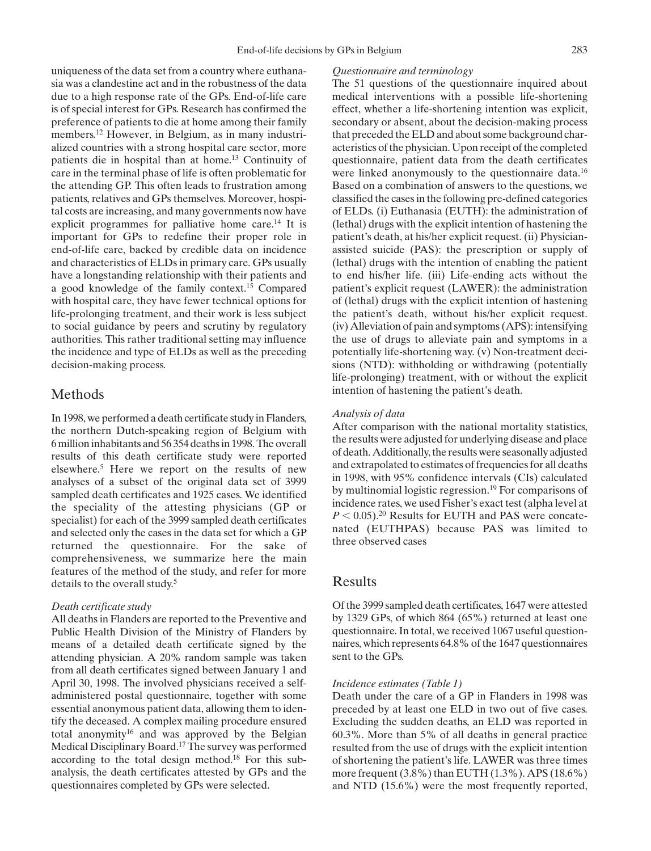uniqueness of the data set from a country where euthanasia was a clandestine act and in the robustness of the data due to a high response rate of the GPs. End-of-life care is of special interest for GPs. Research has confirmed the preference of patients to die at home among their family members.12 However, in Belgium, as in many industrialized countries with a strong hospital care sector, more patients die in hospital than at home.13 Continuity of care in the terminal phase of life is often problematic for the attending GP. This often leads to frustration among patients, relatives and GPs themselves. Moreover, hospital costs are increasing, and many governments now have explicit programmes for palliative home care.<sup>14</sup> It is important for GPs to redefine their proper role in end-of-life care, backed by credible data on incidence and characteristics of ELDs in primary care. GPs usually have a longstanding relationship with their patients and a good knowledge of the family context.15 Compared with hospital care, they have fewer technical options for life-prolonging treatment, and their work is less subject to social guidance by peers and scrutiny by regulatory authorities. This rather traditional setting may influence the incidence and type of ELDs as well as the preceding decision-making process.

## Methods

In 1998, we performed a death certificate study in Flanders, the northern Dutch-speaking region of Belgium with 6 million inhabitants and 56 354 deaths in 1998. The overall results of this death certificate study were reported elsewhere.5 Here we report on the results of new analyses of a subset of the original data set of 3999 sampled death certificates and 1925 cases. We identified the speciality of the attesting physicians (GP or specialist) for each of the 3999 sampled death certificates and selected only the cases in the data set for which a GP returned the questionnaire. For the sake of comprehensiveness, we summarize here the main features of the method of the study, and refer for more details to the overall study.5

#### *Death certificate study*

All deaths in Flanders are reported to the Preventive and Public Health Division of the Ministry of Flanders by means of a detailed death certificate signed by the attending physician. A 20% random sample was taken from all death certificates signed between January 1 and April 30, 1998. The involved physicians received a selfadministered postal questionnaire, together with some essential anonymous patient data, allowing them to identify the deceased. A complex mailing procedure ensured total anonymity<sup>16</sup> and was approved by the Belgian Medical Disciplinary Board.17 The survey was performed according to the total design method.18 For this subanalysis, the death certificates attested by GPs and the questionnaires completed by GPs were selected.

#### *Questionnaire and terminology*

The 51 questions of the questionnaire inquired about medical interventions with a possible life-shortening effect, whether a life-shortening intention was explicit, secondary or absent, about the decision-making process that preceded the ELD and about some background characteristics of the physician. Upon receipt of the completed questionnaire, patient data from the death certificates were linked anonymously to the questionnaire data.<sup>16</sup> Based on a combination of answers to the questions, we classified the cases in the following pre-defined categories of ELDs. (i) Euthanasia (EUTH): the administration of (lethal) drugs with the explicit intention of hastening the patient's death, at his/her explicit request. (ii) Physicianassisted suicide (PAS): the prescription or supply of (lethal) drugs with the intention of enabling the patient to end his/her life. (iii) Life-ending acts without the patient's explicit request (LAWER): the administration of (lethal) drugs with the explicit intention of hastening the patient's death, without his/her explicit request. (iv) Alleviation of pain and symptoms (APS): intensifying the use of drugs to alleviate pain and symptoms in a potentially life-shortening way. (v) Non-treatment decisions (NTD): withholding or withdrawing (potentially life-prolonging) treatment, with or without the explicit intention of hastening the patient's death.

#### *Analysis of data*

After comparison with the national mortality statistics, the results were adjusted for underlying disease and place of death. Additionally, the results were seasonally adjusted and extrapolated to estimates of frequencies for all deaths in 1998, with 95% confidence intervals (CIs) calculated by multinomial logistic regression.19 For comparisons of incidence rates, we used Fisher's exact test (alpha level at  $P < 0.05$ ).<sup>20</sup> Results for EUTH and PAS were concatenated (EUTHPAS) because PAS was limited to three observed cases

## Results

Of the 3999 sampled death certificates, 1647 were attested by 1329 GPs, of which 864 (65%) returned at least one questionnaire. In total, we received 1067 useful questionnaires, which represents 64.8% of the 1647 questionnaires sent to the GPs.

#### *Incidence estimates (Table 1)*

Death under the care of a GP in Flanders in 1998 was preceded by at least one ELD in two out of five cases. Excluding the sudden deaths, an ELD was reported in 60.3%. More than 5% of all deaths in general practice resulted from the use of drugs with the explicit intention of shortening the patient's life. LAWER was three times more frequent (3.8%) than EUTH (1.3%). APS (18.6%) and NTD (15.6%) were the most frequently reported,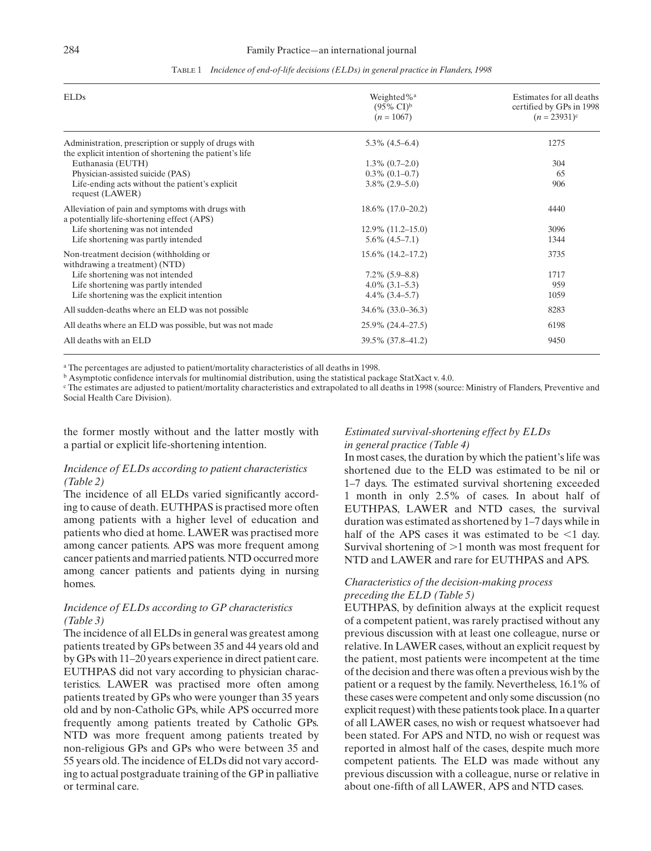#### 284 Family Practice—an international journal

| <b>ELDs</b>                                                                                                     | Weighted% <sup>a</sup><br>$(95\% \text{ CI})^b$<br>$(n = 1067)$ | Estimates for all deaths<br>certified by GPs in 1998<br>$(n = 23931)^c$ |
|-----------------------------------------------------------------------------------------------------------------|-----------------------------------------------------------------|-------------------------------------------------------------------------|
| Administration, prescription or supply of drugs with<br>the explicit intention of shortening the patient's life | $5.3\%$ (4.5–6.4)                                               | 1275                                                                    |
| Euthanasia (EUTH)                                                                                               | $1.3\%$ (0.7–2.0)                                               | 304                                                                     |
| Physician-assisted suicide (PAS)                                                                                | $0.3\%$ (0.1–0.7)                                               | 65                                                                      |
| Life-ending acts without the patient's explicit<br>request (LAWER)                                              | $3.8\%$ (2.9–5.0)                                               | 906                                                                     |
| Alleviation of pain and symptoms with drugs with<br>a potentially life-shortening effect (APS)                  | $18.6\%$ (17.0–20.2)                                            | 4440                                                                    |
| Life shortening was not intended                                                                                | $12.9\%$ $(11.2-15.0)$                                          | 3096                                                                    |
| Life shortening was partly intended                                                                             | $5.6\%$ $(4.5-7.1)$                                             | 1344                                                                    |
| Non-treatment decision (withholding or<br>withdrawing a treatment) (NTD)                                        | $15.6\%$ (14.2–17.2)                                            | 3735                                                                    |
| Life shortening was not intended                                                                                | $7.2\%$ (5.9–8.8)                                               | 1717                                                                    |
| Life shortening was partly intended                                                                             | $4.0\%$ $(3.1-5.3)$                                             | 959                                                                     |
| Life shortening was the explicit intention                                                                      | $4.4\%$ $(3.4-5.7)$                                             | 1059                                                                    |
| All sudden-deaths where an ELD was not possible                                                                 | 34.6% (33.0–36.3)                                               | 8283                                                                    |
| All deaths where an ELD was possible, but was not made                                                          | 25.9% (24.4–27.5)                                               | 6198                                                                    |
| All deaths with an ELD                                                                                          | 39.5% (37.8–41.2)                                               | 9450                                                                    |

#### TABLE 1 *Incidence of end-of-life decisions (ELDs) in general practice in Flanders, 1998*

<sup>a</sup> The percentages are adjusted to patient/mortality characteristics of all deaths in 1998.

<sup>b</sup> Asymptotic confidence intervals for multinomial distribution, using the statistical package StatXact v. 4.0.

<sup>c</sup> The estimates are adjusted to patient/mortality characteristics and extrapolated to all deaths in 1998 (source: Ministry of Flanders, Preventive and Social Health Care Division).

the former mostly without and the latter mostly with a partial or explicit life-shortening intention.

### *Incidence of ELDs according to patient characteristics (Table 2)*

The incidence of all ELDs varied significantly according to cause of death. EUTHPAS is practised more often among patients with a higher level of education and patients who died at home. LAWER was practised more among cancer patients. APS was more frequent among cancer patients and married patients. NTD occurred more among cancer patients and patients dying in nursing homes.

## *Incidence of ELDs according to GP characteristics (Table 3)*

The incidence of all ELDs in general was greatest among patients treated by GPs between 35 and 44 years old and by GPs with 11–20 years experience in direct patient care. EUTHPAS did not vary according to physician characteristics. LAWER was practised more often among patients treated by GPs who were younger than 35 years old and by non-Catholic GPs, while APS occurred more frequently among patients treated by Catholic GPs. NTD was more frequent among patients treated by non-religious GPs and GPs who were between 35 and 55 years old. The incidence of ELDs did not vary according to actual postgraduate training of the GP in palliative or terminal care.

#### *Estimated survival-shortening effect by ELDs in general practice (Table 4)*

In most cases, the duration by which the patient's life was shortened due to the ELD was estimated to be nil or 1–7 days. The estimated survival shortening exceeded 1 month in only 2.5% of cases. In about half of EUTHPAS, LAWER and NTD cases, the survival duration was estimated as shortened by 1–7 days while in half of the APS cases it was estimated to be  $\leq 1$  day. Survival shortening of  $>1$  month was most frequent for NTD and LAWER and rare for EUTHPAS and APS.

#### *Characteristics of the decision-making process preceding the ELD (Table 5)*

EUTHPAS, by definition always at the explicit request of a competent patient, was rarely practised without any previous discussion with at least one colleague, nurse or relative. In LAWER cases, without an explicit request by the patient, most patients were incompetent at the time of the decision and there was often a previous wish by the patient or a request by the family. Nevertheless, 16.1% of these cases were competent and only some discussion (no explicit request) with these patients took place. In a quarter of all LAWER cases, no wish or request whatsoever had been stated. For APS and NTD, no wish or request was reported in almost half of the cases, despite much more competent patients. The ELD was made without any previous discussion with a colleague, nurse or relative in about one-fifth of all LAWER, APS and NTD cases.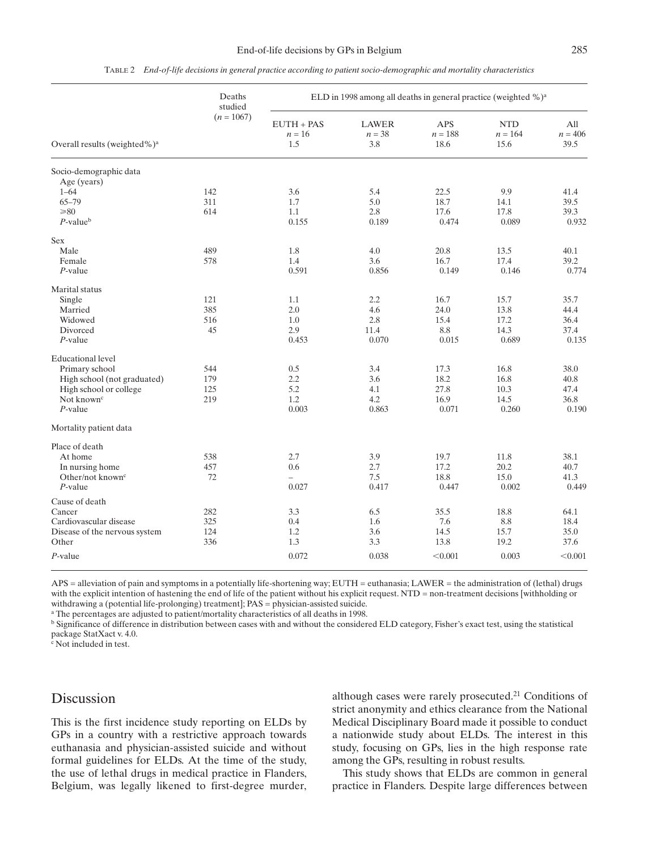|                                          | Deaths<br>studied | ELD in 1998 among all deaths in general practice (weighted %) <sup>a</sup> |                                 |                          |                                 |                          |  |  |
|------------------------------------------|-------------------|----------------------------------------------------------------------------|---------------------------------|--------------------------|---------------------------------|--------------------------|--|--|
| Overall results (weighted%) <sup>a</sup> | $(n = 1067)$      | $EUTH + PAS$<br>$n = 16$<br>1.5                                            | <b>LAWER</b><br>$n = 38$<br>3.8 | APS<br>$n = 188$<br>18.6 | <b>NTD</b><br>$n = 164$<br>15.6 | All<br>$n = 406$<br>39.5 |  |  |
| Socio-demographic data<br>Age (years)    |                   |                                                                            |                                 |                          |                                 |                          |  |  |
| $1 - 64$                                 | 142               | 3.6                                                                        | 5.4                             | 22.5                     | 9.9                             | 41.4                     |  |  |
| $65 - 79$                                | 311               | 1.7                                                                        | 5.0                             | 18.7                     | 14.1                            | 39.5                     |  |  |
| $\geq 80$                                | 614               | 1.1                                                                        | 2.8                             | 17.6                     | 17.8                            | 39.3                     |  |  |
| $P$ -value <sup>b</sup>                  |                   | 0.155                                                                      | 0.189                           | 0.474                    | 0.089                           | 0.932                    |  |  |
| Sex                                      |                   |                                                                            |                                 |                          |                                 |                          |  |  |
| Male                                     | 489               | 1.8                                                                        | 4.0                             | 20.8                     | 13.5                            | 40.1                     |  |  |
| Female                                   | 578               | 1.4                                                                        | 3.6                             | 16.7                     | 17.4                            | 39.2                     |  |  |
| $P$ -value                               |                   | 0.591                                                                      | 0.856                           | 0.149                    | 0.146                           | 0.774                    |  |  |
| Marital status                           |                   |                                                                            |                                 |                          |                                 |                          |  |  |
| Single                                   | 121               | 1.1                                                                        | 2.2                             | 16.7                     | 15.7                            | 35.7                     |  |  |
| Married                                  | 385               | 2.0                                                                        | 4.6                             | 24.0                     | 13.8                            | 44.4                     |  |  |
| Widowed                                  | 516               | 1.0                                                                        | 2.8                             | 15.4                     | 17.2                            | 36.4                     |  |  |
| Divorced                                 | 45                | 2.9                                                                        | 11.4                            | 8.8                      | 14.3                            | 37.4                     |  |  |
| $P$ -value                               |                   | 0.453                                                                      | 0.070                           | 0.015                    | 0.689                           | 0.135                    |  |  |
| <b>Educational level</b>                 |                   |                                                                            |                                 |                          |                                 |                          |  |  |
| Primary school                           | 544               | 0.5                                                                        | 3.4                             | 17.3                     | 16.8                            | 38.0                     |  |  |
| High school (not graduated)              | 179               | 2.2                                                                        | 3.6                             | 18.2                     | 16.8                            | 40.8                     |  |  |
| High school or college                   | 125               | 5.2                                                                        | 4.1                             | 27.8                     | 10.3                            | 47.4                     |  |  |
| Not known <sup>c</sup>                   | 219               | 1.2                                                                        | 4.2                             | 16.9                     | 14.5                            | 36.8                     |  |  |
| $P$ -value                               |                   | 0.003                                                                      | 0.863                           | 0.071                    | 0.260                           | 0.190                    |  |  |
| Mortality patient data                   |                   |                                                                            |                                 |                          |                                 |                          |  |  |
| Place of death                           |                   |                                                                            |                                 |                          |                                 |                          |  |  |
| At home                                  | 538               | 2.7                                                                        | 3.9                             | 19.7                     | 11.8                            | 38.1                     |  |  |
| In nursing home                          | 457               | 0.6                                                                        | 2.7                             | 17.2                     | 20.2                            | 40.7                     |  |  |
| Other/not known <sup>c</sup>             | 72                |                                                                            | 7.5                             | 18.8                     | 15.0                            | 41.3                     |  |  |
| $P$ -value                               |                   | 0.027                                                                      | 0.417                           | 0.447                    | 0.002                           | 0.449                    |  |  |
| Cause of death                           |                   |                                                                            |                                 |                          |                                 |                          |  |  |
| Cancer                                   | 282               | 3.3                                                                        | 6.5                             | 35.5                     | 18.8                            | 64.1                     |  |  |
| Cardiovascular disease                   | 325               | 0.4                                                                        | 1.6                             | 7.6                      | 8.8                             | 18.4                     |  |  |
| Disease of the nervous system            | 124               | 1.2                                                                        | 3.6                             | 14.5                     | 15.7                            | 35.0                     |  |  |
| Other                                    | 336               | 1.3                                                                        | 3.3                             | 13.8                     | 19.2                            | 37.6                     |  |  |
| $P$ -value                               |                   | 0.072                                                                      | 0.038                           | < 0.001                  | 0.003                           | < 0.001                  |  |  |

TABLE 2 *End-of-life decisions in general practice according to patient socio-demographic and mortality characteristics*

APS = alleviation of pain and symptoms in a potentially life-shortening way; EUTH = euthanasia; LAWER = the administration of (lethal) drugs with the explicit intention of hastening the end of life of the patient without his explicit request. NTD = non-treatment decisions [withholding or withdrawing a (potential life-prolonging) treatment]; PAS = physician-assisted suicide.

<sup>a</sup> The percentages are adjusted to patient/mortality characteristics of all deaths in 1998.

<sup>b</sup> Significance of difference in distribution between cases with and without the considered ELD category, Fisher's exact test, using the statistical package StatXact v. 4.0.

<sup>c</sup> Not included in test.

## Discussion

This is the first incidence study reporting on ELDs by GPs in a country with a restrictive approach towards euthanasia and physician-assisted suicide and without formal guidelines for ELDs. At the time of the study, the use of lethal drugs in medical practice in Flanders, Belgium, was legally likened to first-degree murder, although cases were rarely prosecuted. $21$  Conditions of strict anonymity and ethics clearance from the National Medical Disciplinary Board made it possible to conduct a nationwide study about ELDs. The interest in this study, focusing on GPs, lies in the high response rate among the GPs, resulting in robust results.

This study shows that ELDs are common in general practice in Flanders. Despite large differences between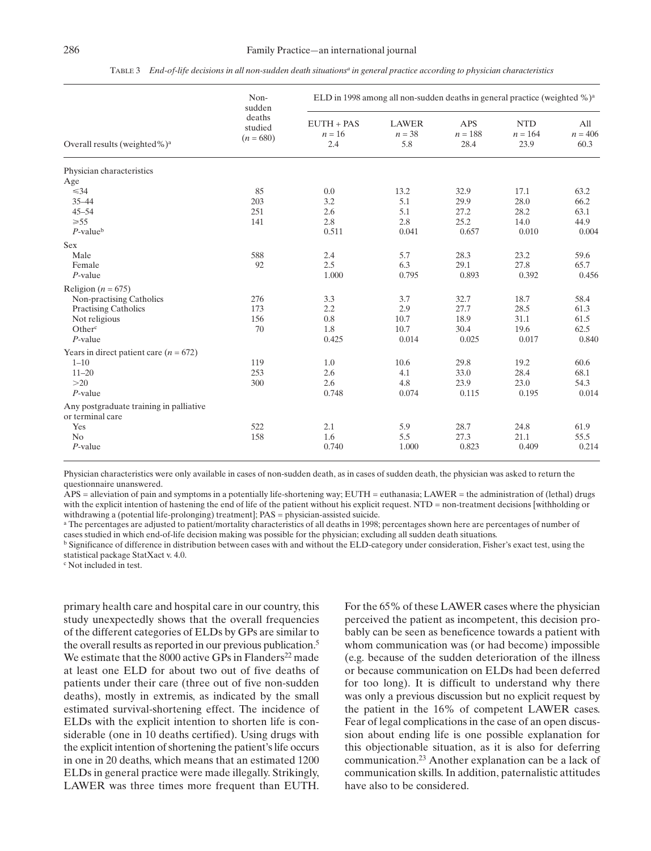| TABLE 3 End-of-life decisions in all non-sudden death situations <sup>a</sup> in general practice according to physician characteristics |  |
|------------------------------------------------------------------------------------------------------------------------------------------|--|
|------------------------------------------------------------------------------------------------------------------------------------------|--|

|                                          | Non-<br>sudden                   | ELD in 1998 among all non-sudden deaths in general practice (weighted %) <sup>a</sup> |       |                                 |                                 |                          |  |  |
|------------------------------------------|----------------------------------|---------------------------------------------------------------------------------------|-------|---------------------------------|---------------------------------|--------------------------|--|--|
| Overall results (weighted%) <sup>a</sup> | deaths<br>studied<br>$(n = 680)$ | $EUTH + PAS$<br>$n = 16$<br>2.4                                                       |       | <b>APS</b><br>$n = 188$<br>28.4 | <b>NTD</b><br>$n = 164$<br>23.9 | All<br>$n = 406$<br>60.3 |  |  |
| Physician characteristics                |                                  |                                                                                       |       |                                 |                                 |                          |  |  |
| Age                                      |                                  |                                                                                       |       |                                 |                                 |                          |  |  |
| $\leq 34$                                | 85                               | 0.0                                                                                   | 13.2  | 32.9                            | 17.1                            | 63.2                     |  |  |
| $35 - 44$                                | 203                              | 3.2                                                                                   | 5.1   | 29.9                            | 28.0                            | 66.2                     |  |  |
| $45 - 54$                                | 251                              | 2.6                                                                                   | 5.1   | 27.2                            | 28.2                            | 63.1                     |  |  |
| $\geq 55$                                | 141                              | 2.8                                                                                   | 2.8   | 25.2                            | 14.0                            | 44.9                     |  |  |
| $P$ -value <sup>b</sup>                  |                                  | 0.511                                                                                 | 0.041 | 0.657                           | 0.010                           | 0.004                    |  |  |
| Sex                                      |                                  |                                                                                       |       |                                 |                                 |                          |  |  |
| Male                                     | 588                              | 2.4                                                                                   | 5.7   | 28.3                            | 23.2                            | 59.6                     |  |  |
| Female                                   | 92                               | 2.5                                                                                   | 6.3   | 29.1                            | 27.8                            | 65.7                     |  |  |
| $P$ -value                               |                                  | 1.000                                                                                 | 0.795 | 0.893                           | 0.392                           | 0.456                    |  |  |
| Religion ( $n = 675$ )                   |                                  |                                                                                       |       |                                 |                                 |                          |  |  |
| Non-practising Catholics                 | 276                              | 3.3                                                                                   | 3.7   | 32.7                            | 18.7                            | 58.4                     |  |  |
| <b>Practising Catholics</b>              | 173                              | 2.2                                                                                   | 2.9   | 27.7                            | 28.5                            | 61.3                     |  |  |
| Not religious                            | 156                              | 0.8                                                                                   | 10.7  | 18.9                            | 31.1                            | 61.5                     |  |  |
| Other <sup>c</sup>                       | 70                               | 1.8                                                                                   | 10.7  | 30.4                            | 19.6                            | 62.5                     |  |  |
| $P$ -value                               |                                  | 0.425                                                                                 | 0.014 | 0.025                           | 0.017                           | 0.840                    |  |  |
| Years in direct patient care $(n = 672)$ |                                  |                                                                                       |       |                                 |                                 |                          |  |  |
| $1 - 10$                                 | 119                              | 1.0                                                                                   | 10.6  | 29.8                            | 19.2                            | 60.6                     |  |  |
| $11 - 20$                                | 253                              | 2.6                                                                                   | 4.1   | 33.0                            | 28.4                            | 68.1                     |  |  |
| >20                                      | 300                              | 2.6                                                                                   | 4.8   | 23.9                            | 23.0                            | 54.3                     |  |  |
| $P$ -value                               |                                  | 0.748                                                                                 | 0.074 | 0.115                           | 0.195                           | 0.014                    |  |  |
| Any postgraduate training in palliative  |                                  |                                                                                       |       |                                 |                                 |                          |  |  |
| or terminal care                         |                                  |                                                                                       |       |                                 |                                 |                          |  |  |
| Yes                                      | 522                              | 2.1                                                                                   | 5.9   | 28.7                            | 24.8                            | 61.9                     |  |  |
| N <sub>o</sub>                           | 158                              | 1.6                                                                                   | 5.5   | 27.3                            | 21.1                            | 55.5                     |  |  |
| $P$ -value                               |                                  | 0.740                                                                                 | 1.000 | 0.823                           | 0.409                           | 0.214                    |  |  |

Physician characteristics were only available in cases of non-sudden death, as in cases of sudden death, the physician was asked to return the questionnaire unanswered.

APS = alleviation of pain and symptoms in a potentially life-shortening way; EUTH = euthanasia; LAWER = the administration of (lethal) drugs with the explicit intention of hastening the end of life of the patient without his explicit request. NTD = non-treatment decisions [withholding or withdrawing a (potential life-prolonging) treatment]; PAS = physician-assisted suicide.

<sup>a</sup> The percentages are adjusted to patient/mortality characteristics of all deaths in 1998; percentages shown here are percentages of number of cases studied in which end-of-life decision making was possible for the physician; excluding all sudden death situations.

<sup>b</sup> Significance of difference in distribution between cases with and without the ELD-category under consideration, Fisher's exact test, using the statistical package StatXact v. 4.0.

<sup>c</sup> Not included in test.

primary health care and hospital care in our country, this study unexpectedly shows that the overall frequencies of the different categories of ELDs by GPs are similar to the overall results as reported in our previous publication.5 We estimate that the 8000 active GPs in Flanders<sup>22</sup> made at least one ELD for about two out of five deaths of patients under their care (three out of five non-sudden deaths), mostly in extremis, as indicated by the small estimated survival-shortening effect. The incidence of ELDs with the explicit intention to shorten life is considerable (one in 10 deaths certified). Using drugs with the explicit intention of shortening the patient's life occurs in one in 20 deaths, which means that an estimated 1200 ELDs in general practice were made illegally. Strikingly, LAWER was three times more frequent than EUTH.

For the 65% of these LAWER cases where the physician perceived the patient as incompetent, this decision probably can be seen as beneficence towards a patient with whom communication was (or had become) impossible (e.g. because of the sudden deterioration of the illness or because communication on ELDs had been deferred for too long). It is difficult to understand why there was only a previous discussion but no explicit request by the patient in the 16% of competent LAWER cases. Fear of legal complications in the case of an open discussion about ending life is one possible explanation for this objectionable situation, as it is also for deferring communication.23 Another explanation can be a lack of communication skills. In addition, paternalistic attitudes have also to be considered.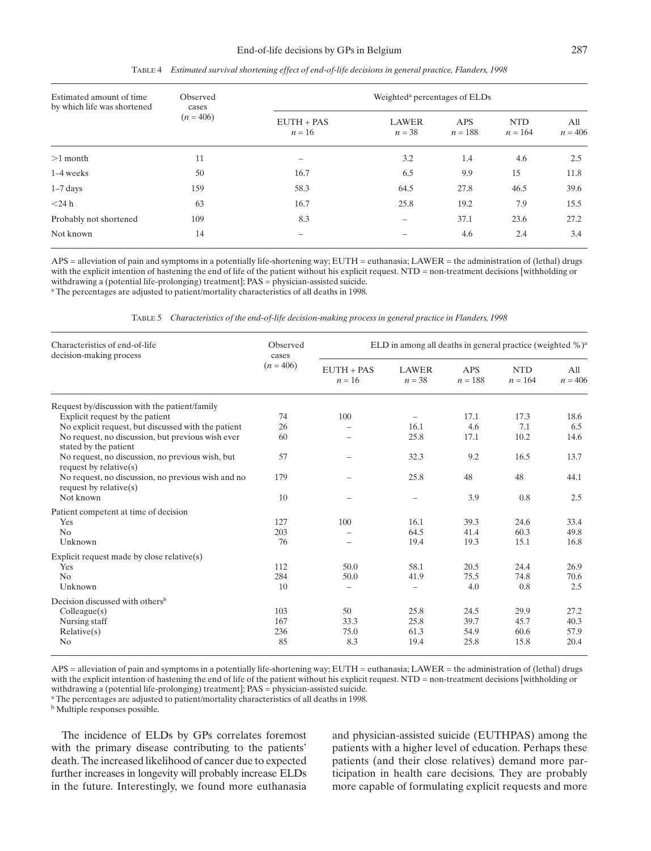| Estimated amount of time<br>by which life was shortened | Observed<br>cases<br>$(n = 406)$ | Weighted <sup>a</sup> percentages of ELDs |                          |                  |                         |                  |  |  |
|---------------------------------------------------------|----------------------------------|-------------------------------------------|--------------------------|------------------|-------------------------|------------------|--|--|
|                                                         |                                  | $EUTH + PAS$<br>$n = 16$                  | <b>LAWER</b><br>$n = 38$ | APS<br>$n = 188$ | <b>NTD</b><br>$n = 164$ | All<br>$n = 406$ |  |  |
| $>1$ month                                              | 11                               |                                           | 3.2                      | 1.4              | 4.6                     | 2.5              |  |  |
| $1-4$ weeks                                             | 50                               | 16.7                                      | 6.5                      | 9.9              | 15                      | 11.8             |  |  |
| $1-7$ days                                              | 159                              | 58.3                                      | 64.5                     | 27.8             | 46.5                    | 39.6             |  |  |
| $<$ 24 h                                                | 63                               | 16.7                                      | 25.8                     | 19.2             | 7.9                     | 15.5             |  |  |
| Probably not shortened                                  | 109                              | 8.3                                       | $\qquad \qquad$          | 37.1             | 23.6                    | 27.2             |  |  |
| Not known                                               | 14                               | $\overline{\phantom{a}}$                  |                          | 4.6              | 2.4                     | 3.4              |  |  |

TABLE 4 *Estimated survival shortening effect of end-of-life decisions in general practice, Flanders, 1998*

APS = alleviation of pain and symptoms in a potentially life-shortening way; EUTH = euthanasia; LAWER = the administration of (lethal) drugs with the explicit intention of hastening the end of life of the patient without his explicit request. NTD = non-treatment decisions [withholding or withdrawing a (potential life-prolonging) treatment]; PAS = physician-assisted suicide. <sup>a</sup> The percentages are adjusted to patient/mortality characteristics of all deaths in 1998.

|  | TABLE 5 Characteristics of the end-of-life decision-making process in general practice in Flanders, 1998 |  |  |  |  |  |
|--|----------------------------------------------------------------------------------------------------------|--|--|--|--|--|
|  |                                                                                                          |  |  |  |  |  |

| Characteristics of end-of-life<br>decision-making process                       | Observed<br>cases | ELD in among all deaths in general practice (weighted $\%$ ) <sup>a</sup> |                          |                         |                         |                  |  |
|---------------------------------------------------------------------------------|-------------------|---------------------------------------------------------------------------|--------------------------|-------------------------|-------------------------|------------------|--|
|                                                                                 | $(n = 406)$       | $EUTH + PAS$<br>$n = 16$                                                  | <b>LAWER</b><br>$n = 38$ | <b>APS</b><br>$n = 188$ | <b>NTD</b><br>$n = 164$ | All<br>$n = 406$ |  |
| Request by/discussion with the patient/family                                   |                   |                                                                           |                          |                         |                         |                  |  |
| Explicit request by the patient                                                 | 74                | 100                                                                       |                          | 17.1                    | 17.3                    | 18.6             |  |
| No explicit request, but discussed with the patient                             | 26                |                                                                           | 16.1                     | 4.6                     | 7.1                     | 6.5              |  |
| No request, no discussion, but previous wish ever<br>stated by the patient      | 60                |                                                                           | 25.8                     | 17.1                    | 10.2                    | 14.6             |  |
| No request, no discussion, no previous wish, but<br>request by relative $(s)$   | 57                |                                                                           | 32.3                     | 9.2                     | 16.5                    | 13.7             |  |
| No request, no discussion, no previous wish and no<br>request by relative $(s)$ | 179               |                                                                           | 25.8                     | 48                      | 48                      | 44.1             |  |
| Not known                                                                       | 10                |                                                                           | -                        | 3.9                     | 0.8                     | 2.5              |  |
| Patient competent at time of decision                                           |                   |                                                                           |                          |                         |                         |                  |  |
| Yes                                                                             | 127               | 100                                                                       | 16.1                     | 39.3                    | 24.6                    | 33.4             |  |
| No                                                                              | 203               |                                                                           | 64.5                     | 41.4                    | 60.3                    | 49.8             |  |
| Unknown                                                                         | 76                |                                                                           | 19.4                     | 19.3                    | 15.1                    | 16.8             |  |
| Explicit request made by close relative $(s)$                                   |                   |                                                                           |                          |                         |                         |                  |  |
| Yes                                                                             | 112               | 50.0                                                                      | 58.1                     | 20.5                    | 24.4                    | 26.9             |  |
| No                                                                              | 284               | 50.0                                                                      | 41.9                     | 75.5                    | 74.8                    | 70.6             |  |
| Unknown                                                                         | 10                | $\overline{\phantom{0}}$                                                  | -                        | 4.0                     | 0.8                     | 2.5              |  |
| Decision discussed with others <sup>b</sup>                                     |                   |                                                                           |                          |                         |                         |                  |  |
| Collect(s)                                                                      | 103               | 50                                                                        | 25.8                     | 24.5                    | 29.9                    | 27.2             |  |
| Nursing staff                                                                   | 167               | 33.3                                                                      | 25.8                     | 39.7                    | 45.7                    | 40.3             |  |
| Relative(s)                                                                     | 236               | 75.0                                                                      | 61.3                     | 54.9                    | 60.6                    | 57.9             |  |
| N <sub>0</sub>                                                                  | 85                | 8.3                                                                       | 19.4                     | 25.8                    | 15.8                    | 20.4             |  |

APS = alleviation of pain and symptoms in a potentially life-shortening way; EUTH = euthanasia; LAWER = the administration of (lethal) drugs with the explicit intention of hastening the end of life of the patient without his explicit request. NTD = non-treatment decisions [withholding or withdrawing a (potential life-prolonging) treatment]; PAS = physician-assisted suicide.

<sup>a</sup> The percentages are adjusted to patient/mortality characteristics of all deaths in 1998.

<sup>b</sup> Multiple responses possible.

The incidence of ELDs by GPs correlates foremost with the primary disease contributing to the patients' death. The increased likelihood of cancer due to expected further increases in longevity will probably increase ELDs in the future. Interestingly, we found more euthanasia and physician-assisted suicide (EUTHPAS) among the patients with a higher level of education. Perhaps these patients (and their close relatives) demand more participation in health care decisions. They are probably more capable of formulating explicit requests and more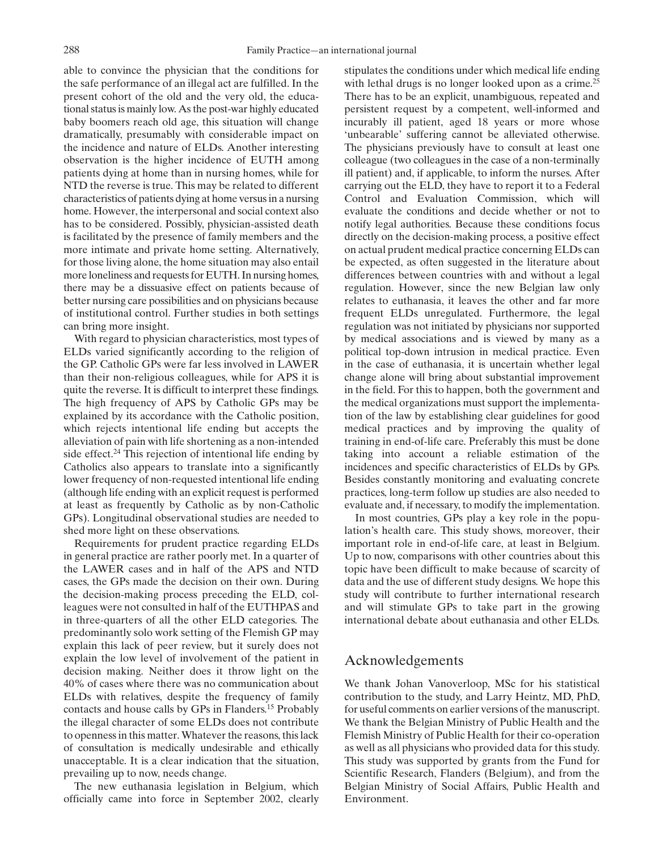able to convince the physician that the conditions for the safe performance of an illegal act are fulfilled. In the present cohort of the old and the very old, the educational status is mainly low. As the post-war highly educated baby boomers reach old age, this situation will change dramatically, presumably with considerable impact on the incidence and nature of ELDs. Another interesting observation is the higher incidence of EUTH among patients dying at home than in nursing homes, while for NTD the reverse is true. This may be related to different characteristics of patients dying at home versus in a nursing home. However, the interpersonal and social context also has to be considered. Possibly, physician-assisted death is facilitated by the presence of family members and the more intimate and private home setting. Alternatively, for those living alone, the home situation may also entail more loneliness and requests for EUTH. In nursing homes, there may be a dissuasive effect on patients because of better nursing care possibilities and on physicians because of institutional control. Further studies in both settings can bring more insight.

With regard to physician characteristics, most types of ELDs varied significantly according to the religion of the GP. Catholic GPs were far less involved in LAWER than their non-religious colleagues, while for APS it is quite the reverse. It is difficult to interpret these findings. The high frequency of APS by Catholic GPs may be explained by its accordance with the Catholic position, which rejects intentional life ending but accepts the alleviation of pain with life shortening as a non-intended side effect.<sup>24</sup> This rejection of intentional life ending by Catholics also appears to translate into a significantly lower frequency of non-requested intentional life ending (although life ending with an explicit request is performed at least as frequently by Catholic as by non-Catholic GPs). Longitudinal observational studies are needed to shed more light on these observations.

Requirements for prudent practice regarding ELDs in general practice are rather poorly met. In a quarter of the LAWER cases and in half of the APS and NTD cases, the GPs made the decision on their own. During the decision-making process preceding the ELD, colleagues were not consulted in half of the EUTHPAS and in three-quarters of all the other ELD categories. The predominantly solo work setting of the Flemish GP may explain this lack of peer review, but it surely does not explain the low level of involvement of the patient in decision making. Neither does it throw light on the 40% of cases where there was no communication about ELDs with relatives, despite the frequency of family contacts and house calls by GPs in Flanders.15 Probably the illegal character of some ELDs does not contribute to openness in this matter. Whatever the reasons, this lack of consultation is medically undesirable and ethically unacceptable. It is a clear indication that the situation, prevailing up to now, needs change.

The new euthanasia legislation in Belgium, which officially came into force in September 2002, clearly stipulates the conditions under which medical life ending with lethal drugs is no longer looked upon as a crime.<sup>25</sup> There has to be an explicit, unambiguous, repeated and persistent request by a competent, well-informed and incurably ill patient, aged 18 years or more whose 'unbearable' suffering cannot be alleviated otherwise. The physicians previously have to consult at least one colleague (two colleagues in the case of a non-terminally ill patient) and, if applicable, to inform the nurses. After carrying out the ELD, they have to report it to a Federal Control and Evaluation Commission, which will evaluate the conditions and decide whether or not to notify legal authorities. Because these conditions focus directly on the decision-making process, a positive effect on actual prudent medical practice concerning ELDs can be expected, as often suggested in the literature about differences between countries with and without a legal regulation. However, since the new Belgian law only relates to euthanasia, it leaves the other and far more frequent ELDs unregulated. Furthermore, the legal regulation was not initiated by physicians nor supported by medical associations and is viewed by many as a political top-down intrusion in medical practice. Even in the case of euthanasia, it is uncertain whether legal change alone will bring about substantial improvement in the field. For this to happen, both the government and the medical organizations must support the implementation of the law by establishing clear guidelines for good medical practices and by improving the quality of training in end-of-life care. Preferably this must be done taking into account a reliable estimation of the incidences and specific characteristics of ELDs by GPs. Besides constantly monitoring and evaluating concrete practices, long-term follow up studies are also needed to evaluate and, if necessary, to modify the implementation.

In most countries, GPs play a key role in the population's health care. This study shows, moreover, their important role in end-of-life care, at least in Belgium. Up to now, comparisons with other countries about this topic have been difficult to make because of scarcity of data and the use of different study designs. We hope this study will contribute to further international research and will stimulate GPs to take part in the growing international debate about euthanasia and other ELDs.

## Acknowledgements

We thank Johan Vanoverloop, MSc for his statistical contribution to the study, and Larry Heintz, MD, PhD, for useful comments on earlier versions of the manuscript. We thank the Belgian Ministry of Public Health and the Flemish Ministry of Public Health for their co-operation as well as all physicians who provided data for this study. This study was supported by grants from the Fund for Scientific Research, Flanders (Belgium), and from the Belgian Ministry of Social Affairs, Public Health and Environment.